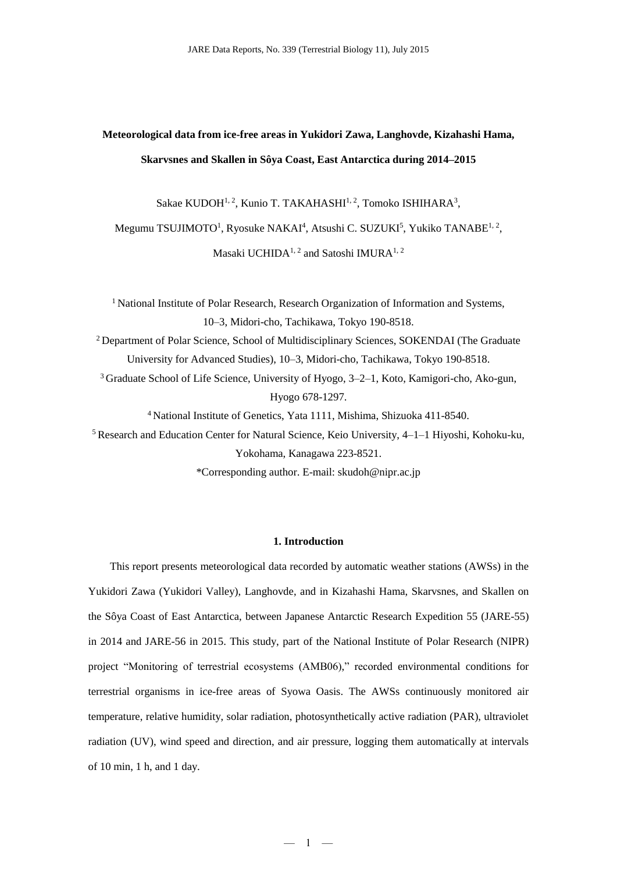**Meteorological data from ice-free areas in Yukidori Zawa, Langhovde, Kizahashi Hama, Skarvsnes and Skallen in Sôya Coast, East Antarctica during 2014–2015** 

Sakae KUDOH<sup>1, 2</sup>, Kunio T. TAKAHASHI<sup>1, 2</sup>, Tomoko ISHIHARA<sup>3</sup>,

Megumu TSUJIMOTO<sup>1</sup>, Ryosuke NAKAI<sup>4</sup>, Atsushi C. SUZUKI<sup>5</sup>, Yukiko TANABE<sup>1, 2</sup>,

Masaki UCHIDA<sup>1, 2</sup> and Satoshi IMURA<sup>1, 2</sup>

<sup>1</sup> National Institute of Polar Research, Research Organization of Information and Systems, 10–3, Midori-cho, Tachikawa, Tokyo 190-8518. <sup>2</sup> Department of Polar Science, School of Multidisciplinary Sciences, SOKENDAI (The Graduate

University for Advanced Studies), 10–3, Midori-cho, Tachikawa, Tokyo 190-8518.

<sup>3</sup>Graduate School of Life Science, University of Hyogo, 3–2–1, Koto, Kamigori-cho, Ako-gun, Hyogo 678-1297.

<sup>4</sup> National Institute of Genetics, Yata 1111, Mishima, Shizuoka 411-8540.

<sup>5</sup> Research and Education Center for Natural Science, Keio University,  $4-1-1$  Hiyoshi, Kohoku-ku, Yokohama, Kanagawa 223-8521.

\*Corresponding author. E-mail: skudoh@nipr.ac.jp

# **1. Introduction**

This report presents meteorological data recorded by automatic weather stations (AWSs) in the Yukidori Zawa (Yukidori Valley), Langhovde, and in Kizahashi Hama, Skarvsnes, and Skallen on the Sôya Coast of East Antarctica, between Japanese Antarctic Research Expedition 55 (JARE-55) in 2014 and JARE-56 in 2015. This study, part of the National Institute of Polar Research (NIPR) project "Monitoring of terrestrial ecosystems (AMB06)," recorded environmental conditions for terrestrial organisms in ice-free areas of Syowa Oasis. The AWSs continuously monitored air temperature, relative humidity, solar radiation, photosynthetically active radiation (PAR), ultraviolet radiation (UV), wind speed and direction, and air pressure, logging them automatically at intervals of 10 min, 1 h, and 1 day.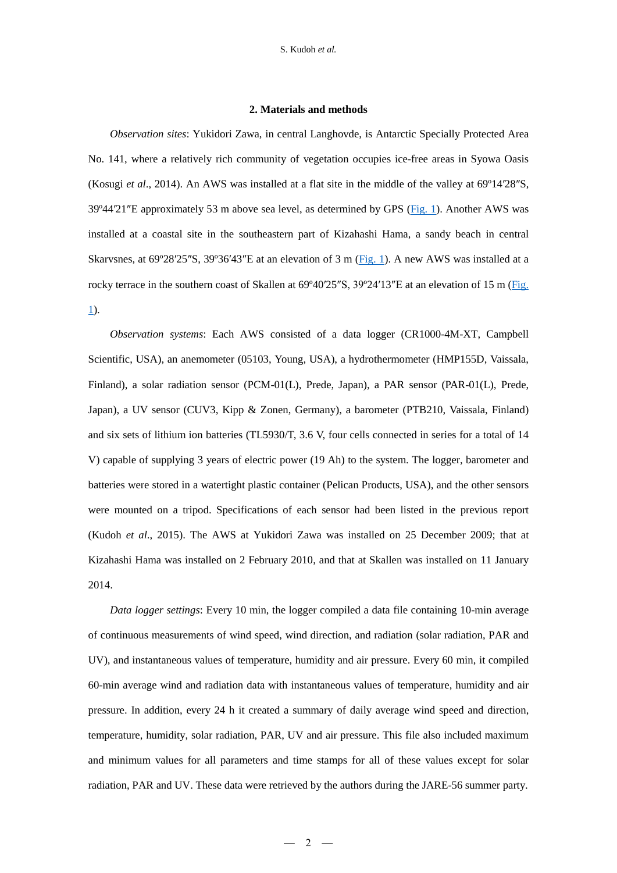### **2. Materials and methods**

*Observation sites*: Yukidori Zawa, in central Langhovde, is Antarctic Specially Protected Area No. 141, where a relatively rich community of vegetation occupies ice-free areas in Syowa Oasis (Kosugi *et al*., 2014). An AWS was installed at a flat site in the middle of the valley at 69º14′28″S, 39º44′21″E approximately 53 m above sea level, as determined by GPS [\(Fig. 1\)](http://polaris.nipr.ac.jp/~parc/pub/v004/nipr_parc_363_0019.doc). Another AWS was installed at a coastal site in the southeastern part of Kizahashi Hama, a sandy beach in central Skarvsnes, at 69º28′25″S, 39º36′43″E at an elevation of 3 m [\(Fig. 1\)](http://polaris.nipr.ac.jp/~parc/pub/v004/nipr_parc_363_0019.doc). A new AWS was installed at a rocky terrace in the southern coast of Skallen at 69°40′25″S, 39°24′13″E at an elevation of 15 m [\(Fig.](http://polaris.nipr.ac.jp/~parc/pub/v004/nipr_parc_363_0019.doc) [1\)](http://polaris.nipr.ac.jp/~parc/pub/v004/nipr_parc_363_0019.doc).

*Observation systems*: Each AWS consisted of a data logger (CR1000-4M-XT, Campbell Scientific, USA), an anemometer (05103, Young, USA), a hydrothermometer (HMP155D, Vaissala, Finland), a solar radiation sensor (PCM-01(L), Prede, Japan), a PAR sensor (PAR-01(L), Prede, Japan), a UV sensor (CUV3, Kipp & Zonen, Germany), a barometer (PTB210, Vaissala, Finland) and six sets of lithium ion batteries (TL5930/T, 3.6 V, four cells connected in series for a total of 14 V) capable of supplying 3 years of electric power (19 Ah) to the system. The logger, barometer and batteries were stored in a watertight plastic container (Pelican Products, USA), and the other sensors were mounted on a tripod. Specifications of each sensor had been listed in the previous report (Kudoh *et al*., 2015). The AWS at Yukidori Zawa was installed on 25 December 2009; that at Kizahashi Hama was installed on 2 February 2010, and that at Skallen was installed on 11 January 2014.

*Data logger settings*: Every 10 min, the logger compiled a data file containing 10-min average of continuous measurements of wind speed, wind direction, and radiation (solar radiation, PAR and UV), and instantaneous values of temperature, humidity and air pressure. Every 60 min, it compiled 60-min average wind and radiation data with instantaneous values of temperature, humidity and air pressure. In addition, every 24 h it created a summary of daily average wind speed and direction, temperature, humidity, solar radiation, PAR, UV and air pressure. This file also included maximum and minimum values for all parameters and time stamps for all of these values except for solar radiation, PAR and UV. These data were retrieved by the authors during the JARE-56 summer party.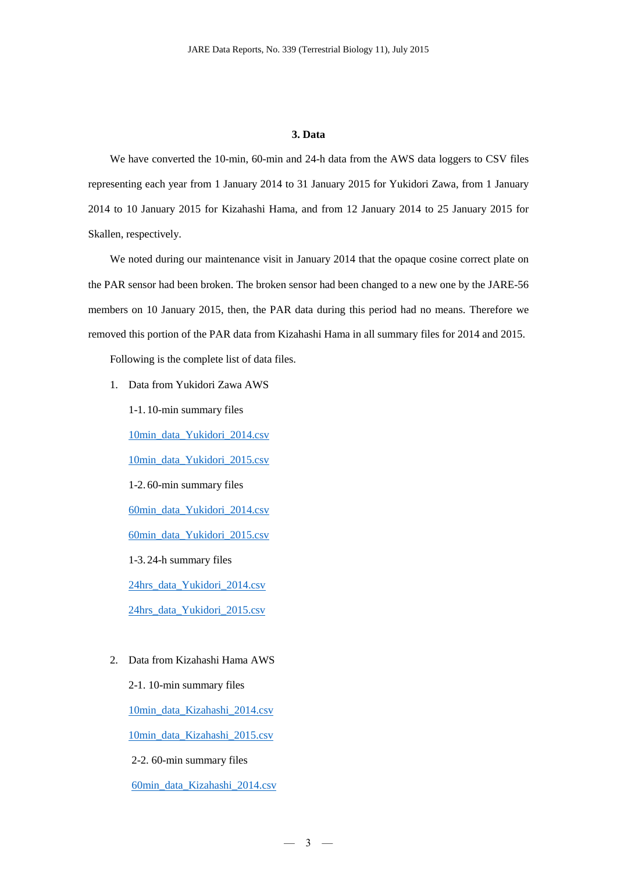### **3. Data**

We have converted the 10-min, 60-min and 24-h data from the AWS data loggers to CSV files representing each year from 1 January 2014 to 31 January 2015 for Yukidori Zawa, from 1 January 2014 to 10 January 2015 for Kizahashi Hama, and from 12 January 2014 to 25 January 2015 for Skallen, respectively.

We noted during our maintenance visit in January 2014 that the opaque cosine correct plate on the PAR sensor had been broken. The broken sensor had been changed to a new one by the JARE-56 members on 10 January 2015, then, the PAR data during this period had no means. Therefore we removed this portion of the PAR data from Kizahashi Hama in all summary files for 2014 and 2015.

Following is the complete list of data files.

1. Data from Yukidori Zawa AWS

1-1. 10-min summary files [10min\\_data\\_Yukidori\\_2014.csv](http://polaris.nipr.ac.jp/~parc/pub/v001/nipr_parc_363_0001.csv) [10min\\_data\\_Yukidori\\_2015.csv](http://polaris.nipr.ac.jp/~parc/pub/v001/nipr_parc_363_0002.csv) 1-2. 60-min summary files [60min\\_data\\_Yukidori\\_2014.csv](http://polaris.nipr.ac.jp/~parc/pub/v001/nipr_parc_363_0003.csv) [60min\\_data\\_Yukidori\\_2015.csv](http://polaris.nipr.ac.jp/~parc/pub/v001/nipr_parc_363_0004.csv) 1-3. 24-h summary files [24hrs\\_data\\_Yukidori\\_2014.csv](http://polaris.nipr.ac.jp/~parc/pub/v001/nipr_parc_363_0005.csv) [24hrs\\_data\\_Yukidori\\_2015.csv](http://polaris.nipr.ac.jp/~parc/pub/v001/nipr_parc_363_0006.csv)

2. Data from Kizahashi Hama AWS

2-1. 10-min summary files [10min\\_data\\_Kizahashi\\_2014.csv](http://polaris.nipr.ac.jp/~parc/pub/v002/nipr_parc_363_0007.csv) [10min\\_data\\_Kizahashi\\_2015.csv](http://polaris.nipr.ac.jp/~parc/pub/v002/nipr_parc_363_0008.csv) 2-2. 60-min summary files [60min\\_data\\_Kizahashi\\_2014.csv](http://polaris.nipr.ac.jp/~parc/pub/v002/nipr_parc_363_0009.csv)

 $-3 -$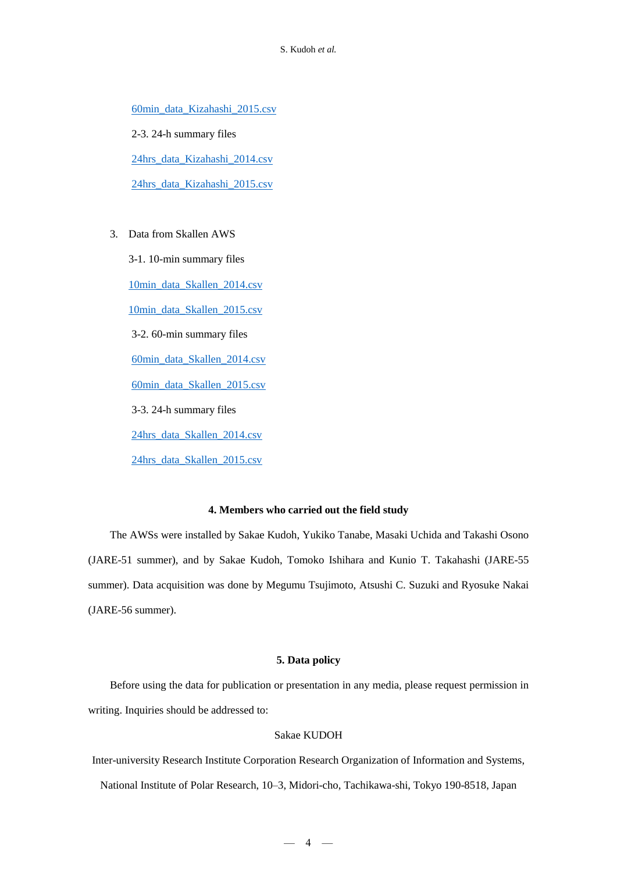[60min\\_data\\_Kizahashi\\_2015.csv](http://polaris.nipr.ac.jp/~parc/pub/v002/nipr_parc_363_0010.csv)

 2-3. 24-h summary files [24hrs\\_data\\_Kizahashi\\_2014.csv](http://polaris.nipr.ac.jp/~parc/pub/v002/nipr_parc_363_0011.csv) [24hrs\\_data\\_Kizahashi\\_2015.csv](http://polaris.nipr.ac.jp/~parc/pub/v002/nipr_parc_363_0012.csv)

3. Data from Skallen AWS

3-1. 10-min summary files [10min\\_data\\_Skallen\\_2014.csv](http://polaris.nipr.ac.jp/~parc/pub/v003/nipr_parc_363_0013.csv) [10min\\_data\\_Skallen\\_2015.csv](http://polaris.nipr.ac.jp/~parc/pub/v003/nipr_parc_363_0014.csv) 3-2. 60-min summary files [60min\\_data\\_Skallen\\_2014.csv](http://polaris.nipr.ac.jp/~parc/pub/v003/nipr_parc_363_0015.csv) [60min\\_data\\_Skallen\\_2015.csv](http://polaris.nipr.ac.jp/~parc/pub/v003/nipr_parc_363_0016.csv) 3-3. 24-h summary files [24hrs\\_data\\_Skallen\\_2014.csv](http://polaris.nipr.ac.jp/~parc/pub/v003/nipr_parc_363_0017.csv) [24hrs\\_data\\_Skallen\\_2015.csv](http://polaris.nipr.ac.jp/~parc/pub/v003/nipr_parc_363_0018.csv)

# **4. Members who carried out the field study**

The AWSs were installed by Sakae Kudoh, Yukiko Tanabe, Masaki Uchida and Takashi Osono (JARE-51 summer), and by Sakae Kudoh, Tomoko Ishihara and Kunio T. Takahashi (JARE-55 summer). Data acquisition was done by Megumu Tsujimoto, Atsushi C. Suzuki and Ryosuke Nakai (JARE-56 summer).

#### **5. Data policy**

Before using the data for publication or presentation in any media, please request permission in writing. Inquiries should be addressed to:

# Sakae KUDOH

Inter-university Research Institute Corporation Research Organization of Information and Systems,

National Institute of Polar Research, 10–3, Midori-cho, Tachikawa-shi, Tokyo 190-8518, Japan

 $-4$   $-$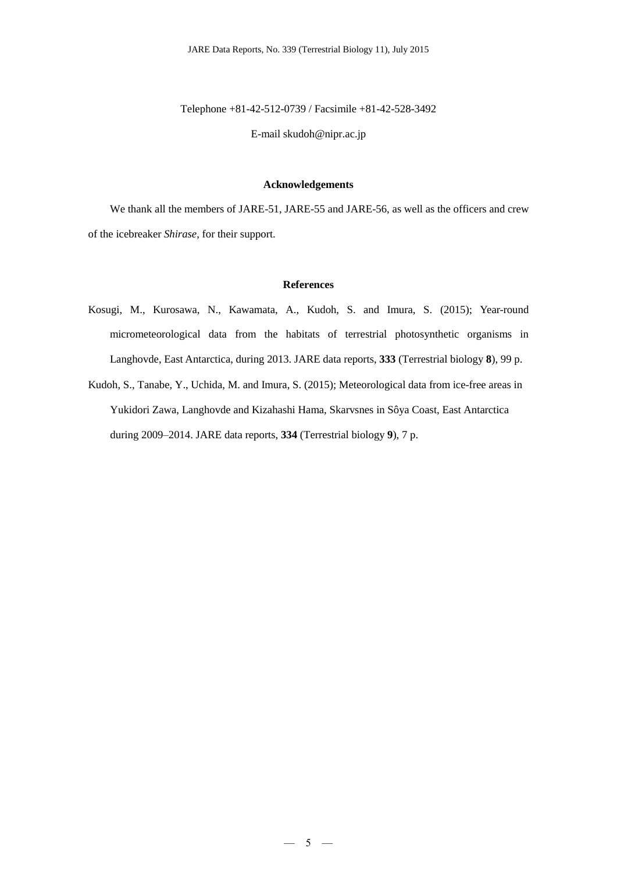Telephone +81-42-512-0739 / Facsimile +81-42-528-3492

E-mail skudoh@nipr.ac.jp

#### **Acknowledgements**

We thank all the members of JARE-51, JARE-55 and JARE-56, as well as the officers and crew of the icebreaker *Shirase*, for their support.

#### **References**

- Kosugi, M., Kurosawa, N., Kawamata, A., Kudoh, S. and Imura, S. (2015); Year-round micrometeorological data from the habitats of terrestrial photosynthetic organisms in Langhovde, East Antarctica, during 2013. JARE data reports, **333** (Terrestrial biology **8**), 99 p.
- Kudoh, S., Tanabe, Y., Uchida, M. and Imura, S. (2015); Meteorological data from ice-free areas in Yukidori Zawa, Langhovde and Kizahashi Hama, Skarvsnes in Sôya Coast, East Antarctica during 2009–2014. JARE data reports, **334** (Terrestrial biology **9**), 7 p.